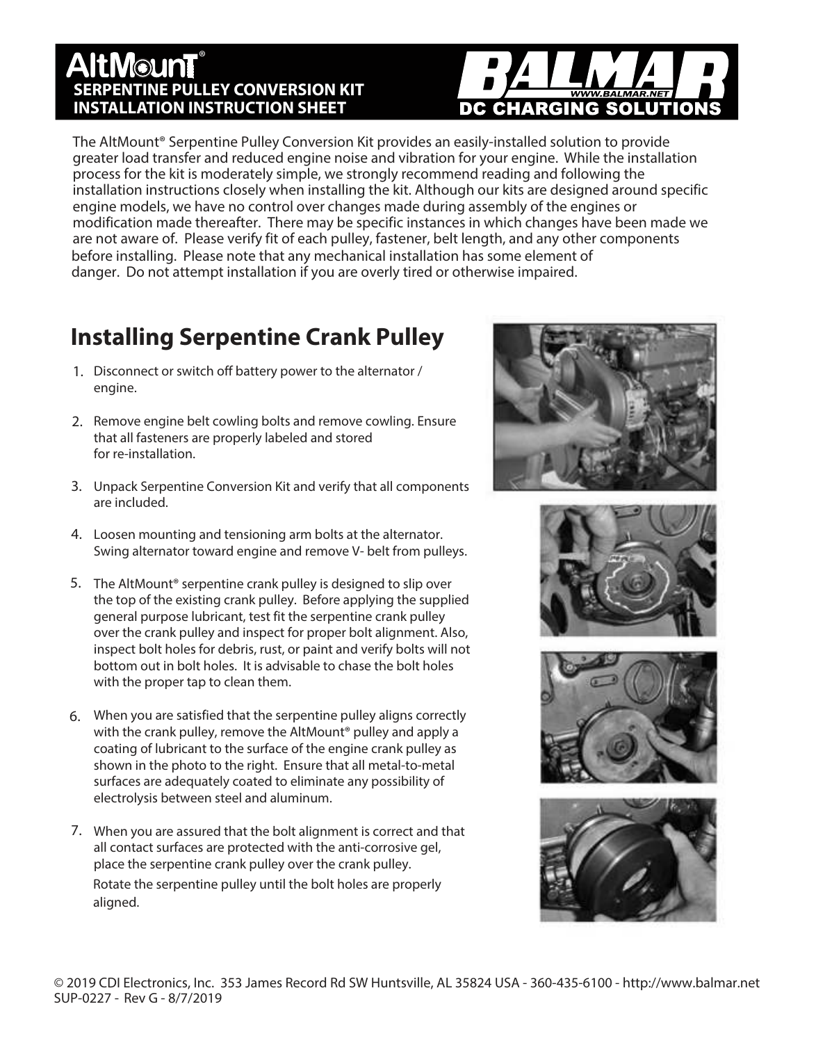#### ®**AltMounT SERPENTINE PULLEY CONVERSION KIT INSTALLATION INSTRUCTION SHEET**

# DC CHARGING SOLUTION

The AltMount® Serpentine Pulley Conversion Kit provides an easily-installed solution to provide greater load transfer and reduced engine noise and vibration for your engine. While the installation process for the kit is moderately simple, we strongly recommend reading and following the installation instructions closely when installing the kit. Although our kits are designed around specific engine models, we have no control over changes made during assembly of the engines or modification made thereafter. There may be specific instances in which changes have been made we are not aware of. Please verify fit of each pulley, fastener, belt length, and any other components before installing. Please note that any mechanical installation has some element of danger. Do not attempt installation if you are overly tired or otherwise impaired.

# **Installing Serpentine Crank Pulley**

- 1. Disconnect or switch off battery power to the alternator / engine.
- 2. Remove engine belt cowling bolts and remove cowling. Ensure that all fasteners are properly labeled and stored for re-installation.
- Unpack Serpentine Conversion Kit and verify that all components 3. are included.
- Loosen mounting and tensioning arm bolts at the alternator. 4. Swing alternator toward engine and remove V- belt from pulleys.
- 5. The AltMount<sup>®</sup> serpentine crank pulley is designed to slip over the top of the existing crank pulley. Before applying the supplied general purpose lubricant, test fit the serpentine crank pulley over the crank pulley and inspect for proper bolt alignment. Also, inspect bolt holes for debris, rust, or paint and verify bolts will not bottom out in bolt holes. It is advisable to chase the bolt holes with the proper tap to clean them.
- When you are satisfied that the serpentine pulley aligns correctly 6. with the crank pulley, remove the AltMount<sup>®</sup> pulley and apply a coating of lubricant to the surface of the engine crank pulley as shown in the photo to the right. Ensure that all metal-to-metal surfaces are adequately coated to eliminate any possibility of electrolysis between steel and aluminum.
- 7. When you are assured that the bolt alignment is correct and that all contact surfaces are protected with the anti-corrosive gel, place the serpentine crank pulley over the crank pulley. Rotate the serpentine pulley until the bolt holes are properly aligned.



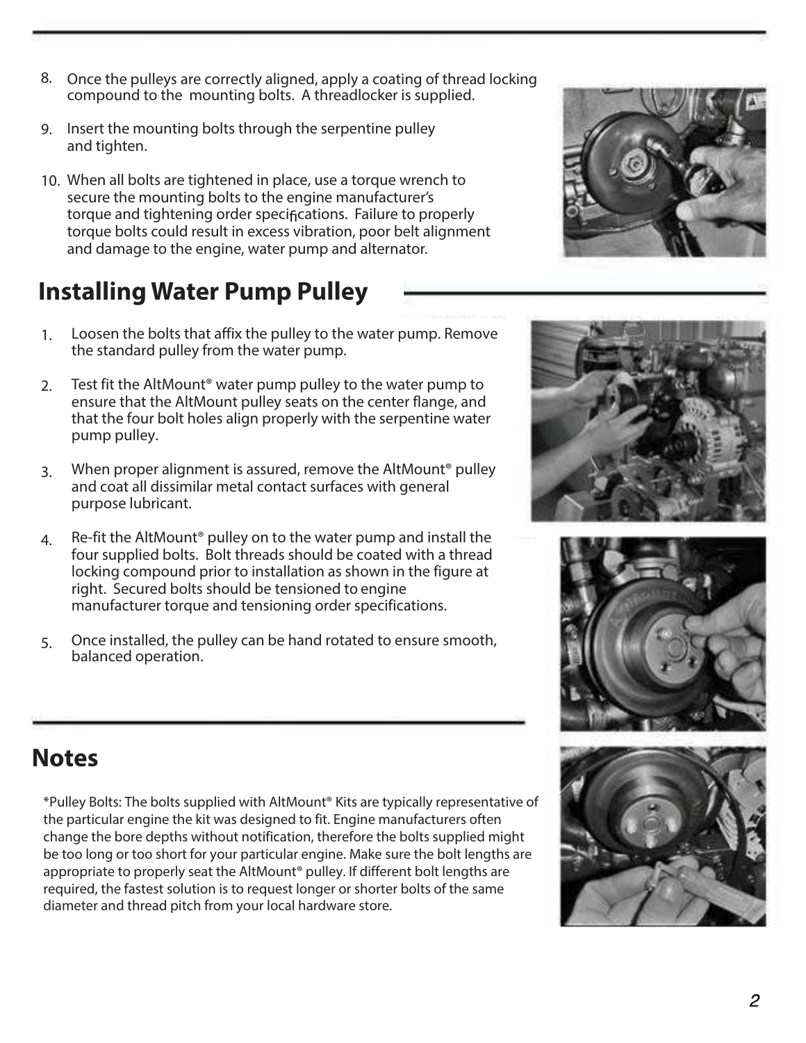$\overline{2}$ 

- Once the pulleys are correctly aligned, apply a coating of thread locking 8. compound to the mounting bolts. A threadlocker is supplied.
- 9. Insert the mounting bolts through the serpentine pulley and tighten.
- When all bolts are tightened in place, use a torque wrench to 10. secure the mounting bolts to the engine manufacturer's torque and tightening order specifications. Failure to properly torque bolts could result in excess vibration, poor belt alignment and damage to the engine, water pump and alternator.

## **Installing Water Pump Pulley**

- Loosen the bolts that affix the pulley to the water pump. Remove the standard pulley from the water pump. 1.
- Test fit the AltMount® water pump pulley to the water pump to ensure that the AltMount pulley seats on the center flange, and that the four bolt holes align properly with the serpentine water pump pulley. 2.
- When proper alignment is assured, remove the AltMount® pulley and coat all dissimilar metal contact surfaces with general purpose lubricant. 3.
- Re-fit the AltMount® pulley on to the water pump and install the four supplied bolts. Bolt threads should be coated with a thread locking compound prior to installation as shown in the figure at right. Secured bolts should be tensioned to engine manufacturer torque and tensioning order specifications. 4.
- Once installed, the pulley can be hand rotated to ensure smooth, balanced operation. 5.



\*Pulley Bolts: The bolts supplied with AltMount® Kits are typically representative of the particular engine the kit was designed to fit. Engine manufacturers often change the bore depths without notification, therefore the bolts supplied might be too long or too short for your particular engine. Make sure the bolt lengths are appropriate to properly seat the AltMount® pulley. If different bolt lengths are required, the fastest solution is to request longer or shorter bolts of the same diameter and thread pitch from your local hardware store.







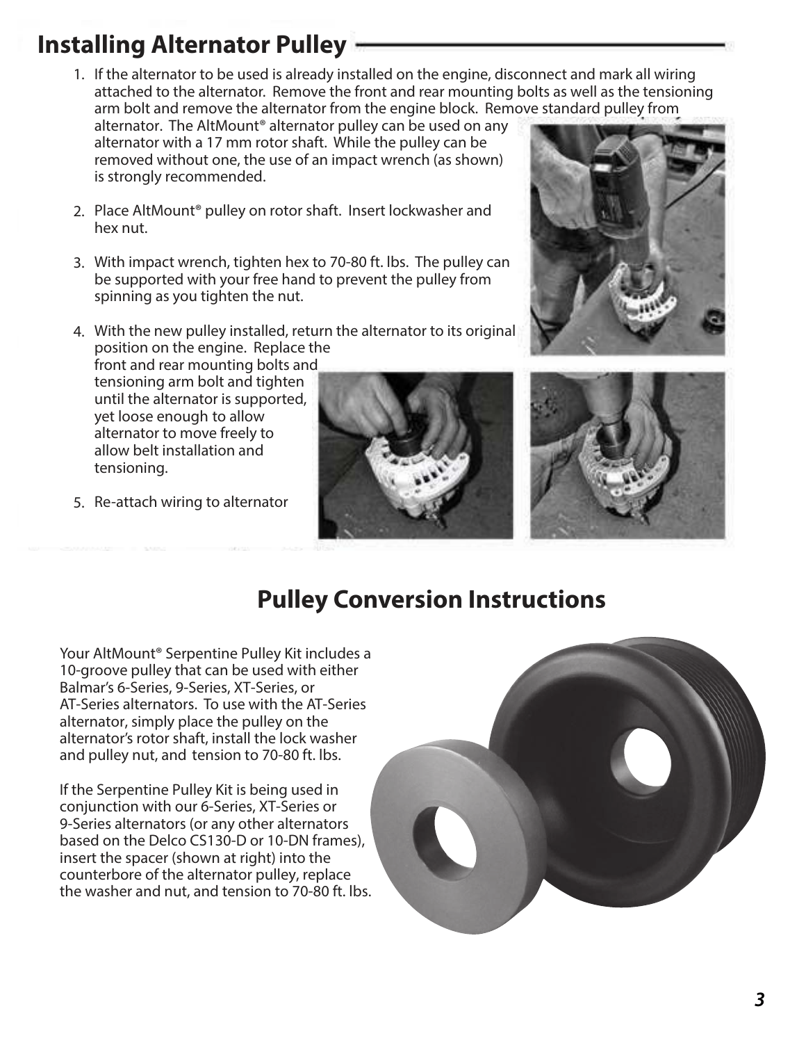# **Installing Alternator Pulley**

1. If the alternator to be used is already installed on the engine, disconnect and mark all wiring attached to the alternator. Remove the front and rear mounting bolts as well as the tensioning arm bolt and remove the alternator from the engine block. Remove standard pulley from

alternator. The AltMount<sup>®</sup> alternator pulley can be used on any alternator with a 17 mm rotor shaft. While the pulley can be removed without one, the use of an impact wrench (as shown) is strongly recommended.

- 2. Place AltMount® pulley on rotor shaft. Insert lockwasher and hex nut.
- With impact wrench, tighten hex to 70-80 ft. lbs. The pulley can 3. be supported with your free hand to prevent the pulley from spinning as you tighten the nut.
- With the new pulley installed, return the alternator to its original 4. position on the engine. Replace the

front and rear mounting bolts and tensioning arm bolt and tighten until the alternator is supported, yet loose enough to allow alternator to move freely to allow belt installation and tensioning.

5. Re-attach wiring to alternator







## **Pulley Conversion Instructions**

Your AltMount® Serpentine Pulley Kit includes a 10-groove pulley that can be used with either Balmar's 6-Series, 9-Series, XT-Series, or AT-Series alternators. To use with the AT-Series alternator, simply place the pulley on the alternator's rotor shaft, install the lock washer and pulley nut, and tension to 70-80 ft. lbs.

If the Serpentine Pulley Kit is being used in conjunction with our 6-Series, XT-Series or 9-Series alternators (or any other alternators based on the Delco CS130-D or 10-DN frames), insert the spacer (shown at right) into the counterbore of the alternator pulley, replace the washer and nut, and tension to 70-80 ft. lbs.